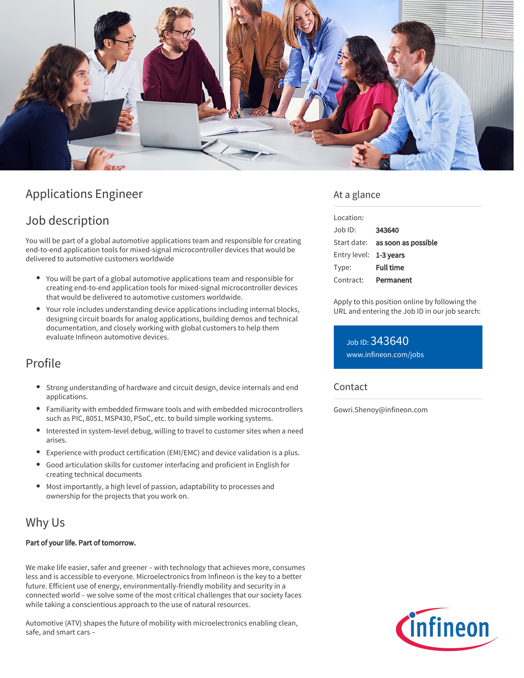

# Applications Engineer

# Job description

You will be part of a global automotive applications team and responsible for creating end-to-end application tools for mixed-signal microcontroller devices that would be delivered to automotive customers worldwide

- You will be part of a global automotive applications team and responsible for creating end-to-end application tools for mixed-signal microcontroller devices that would be delivered to automotive customers worldwide.
- Your role includes understanding device applications including internal blocks, designing circuit boards for analog applications, building demos and technical documentation, and closely working with global customers to help them evaluate Infineon automotive devices.

## Profile

- Strong understanding of hardware and circuit design, device internals and end applications.
- Familiarity with embedded firmware tools and with embedded microcontrollers such as PIC, 8051, MSP430, PSoC, etc. to build simple working systems.
- Interested in system-level debug, willing to travel to customer sites when a need arises.
- Experience with product certification (EMI/EMC) and device validation is a plus.
- Good articulation skills for customer interfacing and proficient in English for creating technical documents
- Most importantly, a high level of passion, adaptability to processes and ownership for the projects that you work on.

## Why Us

#### Part of your life. Part of tomorrow.

We make life easier, safer and greener – with technology that achieves more, consumes less and is accessible to everyone. Microelectronics from Infineon is the key to a better future. Efficient use of energy, environmentally-friendly mobility and security in a connected world – we solve some of the most critical challenges that our society faces while taking a conscientious approach to the use of natural resources.

Automotive (ATV) shapes the future of mobility with microelectronics enabling clean, safe, and smart cars –

### At a glance

| Location:              |                                        |
|------------------------|----------------------------------------|
| Job ID:                | 343640                                 |
|                        | Start date: <b>as soon as possible</b> |
| Entry level: 1-3 years |                                        |
| Type:                  | <b>Full time</b>                       |
| Contract:              | Permanent                              |

Apply to this position online by following the URL and entering the Job ID in our job search:

Job ID: 343640 [www.infineon.com/jobs](https://www.infineon.com/jobs)

#### Contact

Gowri.Shenoy@infineon.com